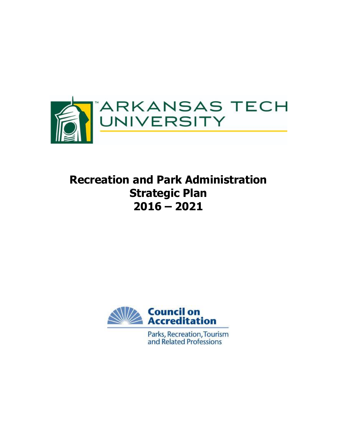

# **Recreation and Park Administration Strategic Plan 2016 – 2021**



Parks, Recreation, Tourism and Related Professions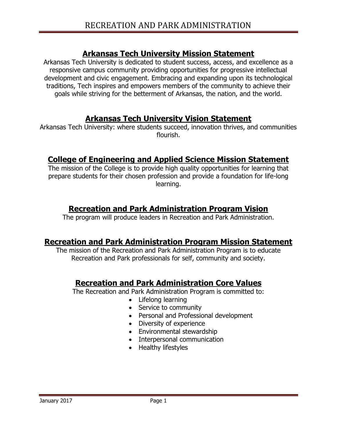## **Arkansas Tech University Mission Statement**

Arkansas Tech University is dedicated to student success, access, and excellence as a responsive campus community providing opportunities for progressive intellectual development and civic engagement. Embracing and expanding upon its technological traditions, Tech inspires and empowers members of the community to achieve their goals while striving for the betterment of Arkansas, the nation, and the world.

## **Arkansas Tech University Vision Statement**

Arkansas Tech University: where students succeed, innovation thrives, and communities flourish.

## **College of Engineering and Applied Science Mission Statement**

The mission of the College is to provide high quality opportunities for learning that prepare students for their chosen profession and provide a foundation for life-long learning.

## **Recreation and Park Administration Program Vision**

The program will produce leaders in Recreation and Park Administration.

## **Recreation and Park Administration Program Mission Statement**

The mission of the Recreation and Park Administration Program is to educate Recreation and Park professionals for self, community and society.

## **Recreation and Park Administration Core Values**

The Recreation and Park Administration Program is committed to:

- Lifelong learning
- Service to community
- Personal and Professional development
- Diversity of experience
- Environmental stewardship
- Interpersonal communication
- Healthy lifestyles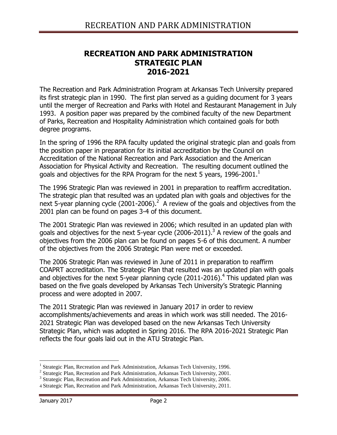## **RECREATION AND PARK ADMINISTRATION STRATEGIC PLAN 2016-2021**

The Recreation and Park Administration Program at Arkansas Tech University prepared its first strategic plan in 1990. The first plan served as a guiding document for 3 years until the merger of Recreation and Parks with Hotel and Restaurant Management in July 1993. A position paper was prepared by the combined faculty of the new Department of Parks, Recreation and Hospitality Administration which contained goals for both degree programs.

In the spring of 1996 the RPA faculty updated the original strategic plan and goals from the position paper in preparation for its initial accreditation by the Council on Accreditation of the National Recreation and Park Association and the American Association for Physical Activity and Recreation. The resulting document outlined the goals and objectives for the RPA Program for the next 5 years, 1996-2001. $^1$ 

The 1996 Strategic Plan was reviewed in 2001 in preparation to reaffirm accreditation. The strategic plan that resulted was an updated plan with goals and objectives for the next 5-year planning cycle (2001-2006).<sup>2</sup> A review of the goals and objectives from the 2001 plan can be found on pages 3-4 of this document.

The 2001 Strategic Plan was reviewed in 2006; which resulted in an updated plan with goals and objectives for the next 5-year cycle (2006-2011).<sup>3</sup> A review of the goals and objectives from the 2006 plan can be found on pages 5-6 of this document. A number of the objectives from the 2006 Strategic Plan were met or exceeded.

The 2006 Strategic Plan was reviewed in June of 2011 in preparation to reaffirm COAPRT accreditation. The Strategic Plan that resulted was an updated plan with goals and objectives for the next 5-year planning cycle (2011-2016).<sup>4</sup> This updated plan was based on the five goals developed by Arkansas Tech University's Strategic Planning process and were adopted in 2007.

The 2011 Strategic Plan was reviewed in January 2017 in order to review accomplishments/achievements and areas in which work was still needed. The 2016- 2021 Strategic Plan was developed based on the new Arkansas Tech University Strategic Plan, which was adopted in Spring 2016. The RPA 2016-2021 Strategic Plan reflects the four goals laid out in the ATU Strategic Plan.

 $\overline{a}$ <sup>1</sup> Strategic Plan, Recreation and Park Administration, Arkansas Tech University, 1996.

<sup>&</sup>lt;sup>2</sup> Strategic Plan, Recreation and Park Administration, Arkansas Tech University, 2001.

<sup>&</sup>lt;sup>3</sup> Strategic Plan, Recreation and Park Administration, Arkansas Tech University, 2006.

<sup>4</sup> Strategic Plan, Recreation and Park Administration, Arkansas Tech University, 2011.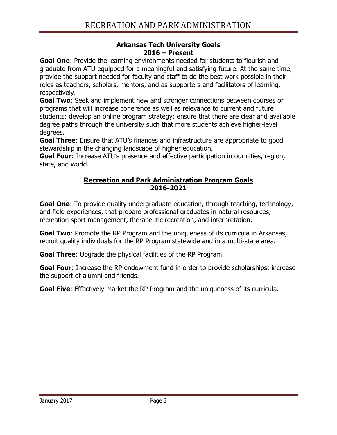### **Arkansas Tech University Goals 2016 – Present**

**Goal One**: Provide the learning environments needed for students to flourish and graduate from ATU equipped for a meaningful and satisfying future. At the same time, provide the support needed for faculty and staff to do the best work possible in their roles as teachers, scholars, mentors, and as supporters and facilitators of learning, respectively.

**Goal Two**: Seek and implement new and stronger connections between courses or programs that will increase coherence as well as relevance to current and future students; develop an online program strategy; ensure that there are clear and available degree paths through the university such that more students achieve higher-level degrees.

**Goal Three**: Ensure that ATU's finances and infrastructure are appropriate to good stewardship in the changing landscape of higher education.

**Goal Four:** Increase ATU's presence and effective participation in our cities, region, state, and world.

### **Recreation and Park Administration Program Goals 2016-2021**

**Goal One**: To provide quality undergraduate education, through teaching, technology, and field experiences, that prepare professional graduates in natural resources, recreation sport management, therapeutic recreation, and interpretation.

**Goal Two**: Promote the RP Program and the uniqueness of its curricula in Arkansas; recruit quality individuals for the RP Program statewide and in a multi-state area.

**Goal Three**: Upgrade the physical facilities of the RP Program.

**Goal Four:** Increase the RP endowment fund in order to provide scholarships; increase the support of alumni and friends.

**Goal Five**: Effectively market the RP Program and the uniqueness of its curricula.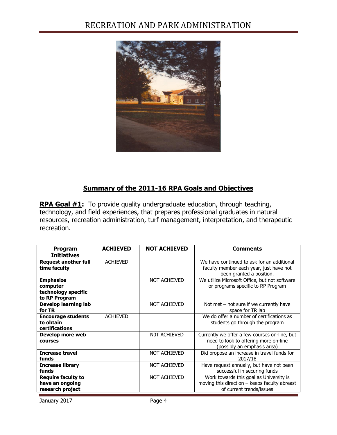## RECREATION AND PARK ADMINISTRATION



### **Summary of the 2011-16 RPA Goals and Objectives**

**RPA Goal #1:** To provide quality undergraduate education, through teaching, technology, and field experiences, that prepares professional graduates in natural resources, recreation administration, turf management, interpretation, and therapeutic recreation.

| Program<br><b>Initiatives</b>                                        | <b>ACHIEVED</b> | <b>NOT ACHIEVED</b> | <b>Comments</b>                                                                                                       |
|----------------------------------------------------------------------|-----------------|---------------------|-----------------------------------------------------------------------------------------------------------------------|
| <b>Request another full</b><br>time faculty                          | <b>ACHIEVED</b> |                     | We have continued to ask for an additional<br>faculty member each year, just have not<br>been granted a position.     |
| <b>Emphasize</b><br>computer<br>technology specific<br>to RP Program |                 | NOT ACHEIVED        | We utilize Microsoft Office, but not software<br>or programs specific to RP Program                                   |
| <b>Develop learning lab</b><br>for TR                                |                 | <b>NOT ACHIEVED</b> | Not met $-$ not sure if we currently have<br>space for TR lab                                                         |
| <b>Encourage students</b><br>to obtain<br>certifications             | <b>ACHIEVED</b> |                     | We do offer a number of certifications as<br>students go through the program                                          |
| Develop more web<br><b>COULSES</b>                                   |                 | NOT ACHIEVED        | Currently we offer a few courses on-line, but<br>need to look to offering more on-line<br>(possibly an emphasis area) |
| <b>Increase travel</b><br>funds                                      |                 | <b>NOT ACHIEVED</b> | Did propose an increase in travel funds for<br>2017/18                                                                |
| <b>Increase library</b><br>funds                                     |                 | <b>NOT ACHIEVED</b> | Have request annually, but have not been<br>successful in securing funds                                              |
| <b>Require faculty to</b><br>have an ongoing<br>research project     |                 | <b>NOT ACHIEVED</b> | Work towards this goal as University is<br>moving this direction - keeps faculty abreast<br>of current trends/issues  |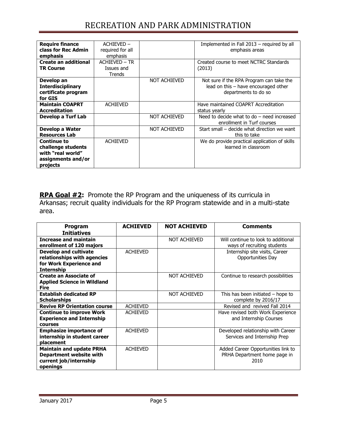## RECREATION AND PARK ADMINISTRATION

| <b>Require finance</b><br>class for Rec Admin<br>emphasis                                       | ACHIEVED-<br>required for all<br>emphasis |                     | Implemented in Fall 2013 – required by all<br>emphasis areas                                               |
|-------------------------------------------------------------------------------------------------|-------------------------------------------|---------------------|------------------------------------------------------------------------------------------------------------|
| <b>Create an additional</b><br><b>TR Course</b>                                                 | ACHIEVED - TR<br>Issues and<br>Trends     |                     | Created course to meet NCTRC Standards<br>(2013)                                                           |
| Develop an<br><b>Interdisciplinary</b><br>certificate program<br>for GIS                        |                                           | <b>NOT ACHIEVED</b> | Not sure if the RPA Program can take the<br>lead on this $-$ have encouraged other<br>departments to do so |
| <b>Maintain COAPRT</b><br><b>Accreditation</b>                                                  | <b>ACHIEVED</b>                           |                     | Have maintained COAPRT Accreditation<br>status yearly                                                      |
| Develop a Turf Lab                                                                              |                                           | NOT ACHIEVED        | Need to decide what to do $-$ need increased<br>enrollment in Turf courses                                 |
| Develop a Water<br><b>Resources Lab</b>                                                         |                                           | NOT ACHIEVED        | Start small – decide what direction we want<br>this to take                                                |
| <b>Continue to</b><br>challenge students<br>with "real world"<br>assignments and/or<br>projects | <b>ACHIEVED</b>                           |                     | We do provide practical application of skills<br>learned in classroom                                      |

**RPA Goal #2:** Promote the RP Program and the uniqueness of its curricula in Arkansas; recruit quality individuals for the RP Program statewide and in a multi-state area.

| Program                             | <b>ACHIEVED</b> | <b>NOT ACHIEVED</b> | <b>Comments</b>                     |
|-------------------------------------|-----------------|---------------------|-------------------------------------|
| <b>Initiatives</b>                  |                 |                     |                                     |
| <b>Increase and maintain</b>        |                 | <b>NOT ACHIEVED</b> | Will continue to look to additional |
| enrollment of 120 majors            |                 |                     | ways of recruiting students         |
| <b>Develop and cultivate</b>        | <b>ACHIEVED</b> |                     | Internship site visits, Career      |
| relationships with agencies         |                 |                     | Opportunities Day                   |
| for Work Experience and             |                 |                     |                                     |
| <b>Internship</b>                   |                 |                     |                                     |
| <b>Create an Associate of</b>       |                 | <b>NOT ACHIEVED</b> | Continue to research possibilities  |
| <b>Applied Science in Wildland</b>  |                 |                     |                                     |
| <b>Fire</b>                         |                 |                     |                                     |
| <b>Establish dedicated RP</b>       |                 | <b>NOT ACHIEVED</b> | This has been initiated $-$ hope to |
| <b>Scholarships</b>                 |                 |                     | complete by 2016/17                 |
| <b>Revive RP Orientation course</b> | <b>ACHIEVED</b> |                     | Revised and revived Fall 2014       |
| <b>Continue to improve Work</b>     | <b>ACHIEVED</b> |                     | Have revised both Work Experience   |
| <b>Experience and Internship</b>    |                 |                     | and Internship Courses              |
| <b>COULSES</b>                      |                 |                     |                                     |
| <b>Emphasize importance of</b>      | <b>ACHIEVED</b> |                     | Developed relationship with Career  |
| internship in student career        |                 |                     | Services and Internship Prep        |
| placement                           |                 |                     |                                     |
| <b>Maintain and update PRHA</b>     | <b>ACHIEVED</b> |                     | Added Career Opportunities link to  |
| <b>Department website with</b>      |                 |                     | PRHA Department home page in        |
| current job/internship              |                 |                     | 2010                                |
| openings                            |                 |                     |                                     |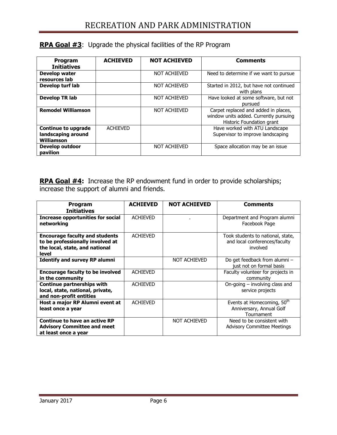| Program<br><b>Initiatives</b>                                  | <b>ACHIEVED</b> | <b>NOT ACHIEVED</b> | <b>Comments</b>                                                                                             |
|----------------------------------------------------------------|-----------------|---------------------|-------------------------------------------------------------------------------------------------------------|
| Develop water<br>resources lab                                 |                 | <b>NOT ACHIEVED</b> | Need to determine if we want to pursue                                                                      |
| Develop turf lab                                               |                 | <b>NOT ACHIEVED</b> | Started in 2012, but have not continued<br>with plans                                                       |
| <b>Develop TR lab</b>                                          |                 | <b>NOT ACHIEVED</b> | Have looked at some software, but not<br>pursued                                                            |
| <b>Remodel Williamson</b>                                      |                 | <b>NOT ACHIEVED</b> | Carpet replaced and added in places,<br>window units added. Currently pursuing<br>Historic Foundation grant |
| <b>Continue to upgrade</b><br>landscaping around<br>Williamson | <b>ACHIEVED</b> |                     | Have worked with ATU Landscape<br>Supervisor to improve landscaping                                         |
| Develop outdoor<br>pavilion                                    |                 | <b>NOT ACHIEVED</b> | Space allocation may be an issue                                                                            |

### **RPA Goal #3**: Upgrade the physical facilities of the RP Program

**RPA Goal #4:** Increase the RP endowment fund in order to provide scholarships; increase the support of alumni and friends.

| <b>Program</b><br><b>Initiatives</b>                                                                                 | <b>ACHIEVED</b> | <b>NOT ACHIEVED</b> | <b>Comments</b>                                                                |
|----------------------------------------------------------------------------------------------------------------------|-----------------|---------------------|--------------------------------------------------------------------------------|
| <b>Increase opportunities for social</b><br>networking                                                               | <b>ACHIEVED</b> |                     | Department and Program alumni<br>Facebook Page                                 |
| <b>Encourage faculty and students</b><br>to be professionally involved at<br>the local, state, and national<br>level | <b>ACHIEVED</b> |                     | Took students to national, state,<br>and local conferences/faculty<br>involved |
| <b>Identify and survey RP alumni</b>                                                                                 |                 | <b>NOT ACHIEVED</b> | Do get feedback from alumni -<br>just not on formal basis                      |
| <b>Encourage faculty to be involved</b><br>in the community                                                          | <b>ACHIEVED</b> |                     | Faculty volunteer for projects in<br>community                                 |
| <b>Continue partnerships with</b><br>local, state, national, private,<br>and non-profit entities                     | <b>ACHIEVED</b> |                     | On-going $-$ involving class and<br>service projects                           |
| Host a major RP Alumni event at<br>least once a year                                                                 | <b>ACHIEVED</b> |                     | Events at Homecoming, 50th<br>Anniversary, Annual Golf<br>Tournament           |
| Continue to have an active RP<br><b>Advisory Committee and meet</b><br>at least once a year                          |                 | <b>NOT ACHIEVED</b> | Need to be consistent with<br><b>Advisory Committee Meetings</b>               |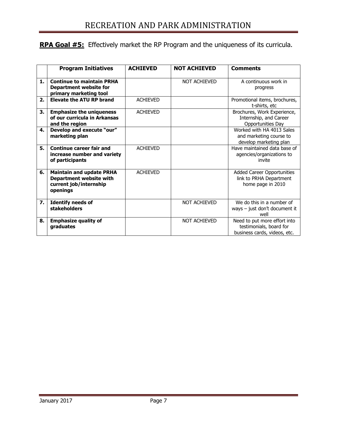## **RPA Goal #5:** Effectively market the RP Program and the uniqueness of its curricula.

|    | <b>Program Initiatives</b>                                                                       | <b>ACHIEVED</b> | <b>NOT ACHIEVED</b> | <b>Comments</b>                                                                         |
|----|--------------------------------------------------------------------------------------------------|-----------------|---------------------|-----------------------------------------------------------------------------------------|
| 1. | <b>Continue to maintain PRHA</b><br><b>Department website for</b><br>primary marketing tool      |                 | NOT ACHIEVED        | A continuous work in<br>progress                                                        |
| 2. | <b>Elevate the ATU RP brand</b>                                                                  | <b>ACHIEVED</b> |                     | Promotional items, brochures,<br>t-shirts, etc                                          |
| 3. | <b>Emphasize the uniqueness</b><br>of our curricula in Arkansas<br>and the region                | <b>ACHIEVED</b> |                     | Brochures, Work Experience,<br>Internship, and Career<br>Opportunities Day              |
| 4. | Develop and execute "our"<br>marketing plan                                                      |                 |                     | Worked with HA 4013 Sales<br>and marketing course to<br>develop marketing plan          |
| 5. | <b>Continue career fair and</b><br>increase number and variety<br>of participants                | <b>ACHIEVED</b> |                     | Have maintained data base of<br>agencies/organizations to<br>invite                     |
| 6. | <b>Maintain and update PRHA</b><br>Department website with<br>current job/internship<br>openings | <b>ACHIEVED</b> |                     | Added Career Opportunities<br>link to PRHA Department<br>home page in 2010              |
| 7. | <b>Identify needs of</b><br>stakeholders                                                         |                 | NOT ACHIEVED        | We do this in a number of<br>ways $-$ just don't document it<br>well                    |
| 8. | <b>Emphasize quality of</b><br>graduates                                                         |                 | NOT ACHIEVED        | Need to put more effort into<br>testimonials, board for<br>business cards, videos, etc. |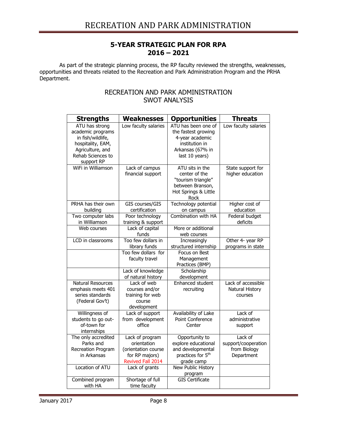#### **5-YEAR STRATEGIC PLAN FOR RPA 2016 – 2021**

As part of the strategic planning process, the RP faculty reviewed the strengths, weaknesses, opportunities and threats related to the Recreation and Park Administration Program and the PRHA Department.

#### RECREATION AND PARK ADMINISTRATION SWOT ANALYSIS

| <b>Strengths</b>                                                                                                                     | <b>Weaknesses</b>                                                                            | <b>Opportunities</b>                                                                                                  | <b>Threats</b>                                               |
|--------------------------------------------------------------------------------------------------------------------------------------|----------------------------------------------------------------------------------------------|-----------------------------------------------------------------------------------------------------------------------|--------------------------------------------------------------|
| ATU has strong<br>academic programs<br>in fish/wildlife,<br>hospitality, EAM,<br>Agriculture, and<br>Rehab Sciences to<br>support RP | Low faculty salaries                                                                         | ATU has been one of<br>the fastest growing<br>4-year academic<br>institution in<br>Arkansas (67% in<br>last 10 years) | Low faculty salaries                                         |
| WiFi in Williamson                                                                                                                   | Lack of campus<br>financial support                                                          | ATU sits in the<br>center of the<br>"tourism triangle"<br>between Branson,<br>Hot Springs & Little<br>Rock            | State support for<br>higher education                        |
| PRHA has their own<br>building                                                                                                       | GIS courses/GIS<br>certification                                                             | Technology potential<br>on campus                                                                                     | Higher cost of<br>education                                  |
| Two computer labs                                                                                                                    | Poor technology                                                                              | Combination with HA                                                                                                   | Federal budget                                               |
| in Williamson                                                                                                                        | training & support                                                                           |                                                                                                                       | deficits                                                     |
| Web courses                                                                                                                          | Lack of capital<br>funds                                                                     | More or additional<br>web courses                                                                                     |                                                              |
| LCD in classrooms                                                                                                                    | Too few dollars in<br>library funds                                                          | Increasingly<br>structured internship                                                                                 | Other 4- year RP<br>programs in state                        |
|                                                                                                                                      | Too few dollars for<br>faculty travel                                                        | Focus on Best<br>Management<br>Practices (BMP)                                                                        |                                                              |
|                                                                                                                                      | Lack of knowledge<br>of natural history                                                      | Scholarship<br>development                                                                                            |                                                              |
| <b>Natural Resources</b><br>emphasis meets 401<br>series standards<br>(Federal Gov't)                                                | Lack of web<br>courses and/or<br>training for web<br>course<br>development                   | Enhanced student<br>recruiting                                                                                        | Lack of accessible<br>Natural History<br>courses             |
| Willingness of<br>students to go out-<br>of-town for<br>internships                                                                  | Lack of support<br>from development<br>office                                                | Availability of Lake<br>Point Conference<br>Center                                                                    | Lack of<br>administrative<br>support                         |
| The only accredited<br>Parks and<br>Recreation Program<br>in Arkansas                                                                | Lack of program<br>orientation<br>(orientation course<br>for RP majors)<br>Revived Fall 2014 | Opportunity to<br>explore educational<br>and developmental<br>practices for 5 <sup>th</sup><br>grade camp             | Lack of<br>support/cooperation<br>from Biology<br>Department |
| Location of ATU                                                                                                                      | Lack of grants                                                                               | <b>New Public History</b><br>program                                                                                  |                                                              |
| Combined program<br>with HA                                                                                                          | Shortage of full<br>time faculty                                                             | <b>GIS Certificate</b>                                                                                                |                                                              |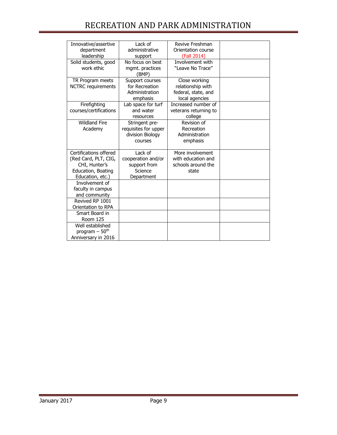## RECREATION AND PARK ADMINISTRATION

| Innovative/assertive      | Lack of              | Revive Freshman       |  |
|---------------------------|----------------------|-----------------------|--|
| department                | administrative       | Orientation course    |  |
| leadership                | support              | (Fall 2014)           |  |
| Solid students, good      | No focus on best     | Involvement with      |  |
| work ethic                | mgmt. practices      | "Leave No Trace"      |  |
|                           | (BMP)                |                       |  |
| TR Program meets          | Support courses      | Close working         |  |
| <b>NCTRC</b> requirements | for Recreation       | relationship with     |  |
|                           | Administration       | federal, state, and   |  |
|                           | emphasis             | local agencies        |  |
| Firefighting              | Lab space for turf   | Increased number of   |  |
| courses/certifications    | and water            | veterans returning to |  |
|                           | resources            | college               |  |
| <b>Wildland Fire</b>      | Stringent pre-       | Revision of           |  |
| Academy                   | requisites for upper | Recreation            |  |
|                           | division Biology     | Administration        |  |
|                           | courses              | emphasis              |  |
|                           |                      |                       |  |
| Certifications offered    | Lack of              | More involvement      |  |
| (Red Card, PLT, CIG,      | cooperation and/or   | with education and    |  |
| CHI, Hunter's             | support from         | schools around the    |  |
| Education, Boating        | Science              | state                 |  |
| Education, etc.)          | Department           |                       |  |
| Involvement of            |                      |                       |  |
| faculty in campus         |                      |                       |  |
| and community             |                      |                       |  |
| Revived RP 1001           |                      |                       |  |
| Orientation to RPA        |                      |                       |  |
| Smart Board in            |                      |                       |  |
| <b>Room 125</b>           |                      |                       |  |
| Well established          |                      |                       |  |
| program $-50th$           |                      |                       |  |
| Anniversary in 2016       |                      |                       |  |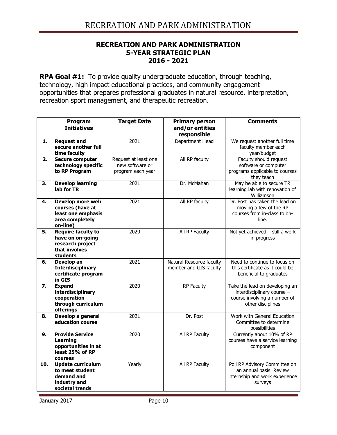#### **RECREATION AND PARK ADMINISTRATION 5-YEAR STRATEGIC PLAN 2016 - 2021**

**RPA Goal #1:** To provide quality undergraduate education, through teaching, technology, high impact educational practices, and community engagement opportunities that prepares professional graduates in natural resource, interpretation, recreation sport management, and therapeutic recreation.

|     | Program<br><b>Initiatives</b>                                                                  | <b>Target Date</b>                                           | <b>Primary person</b><br>and/or entities<br>responsible | <b>Comments</b>                                                                                                   |
|-----|------------------------------------------------------------------------------------------------|--------------------------------------------------------------|---------------------------------------------------------|-------------------------------------------------------------------------------------------------------------------|
| 1.  | <b>Request and</b><br>secure another full<br>time faculty                                      | 2021                                                         | Department Head                                         | We request another full time<br>faculty member each<br>year/budget                                                |
| 2.  | <b>Secure computer</b><br>technology specific<br>to RP Program                                 | Request at least one<br>new software or<br>program each year | All RP faculty                                          | Faculty should request<br>software or computer<br>programs applicable to courses<br>they teach                    |
| 3.  | <b>Develop learning</b><br>lab for TR                                                          | 2021                                                         | Dr. McMahan                                             | May be able to secure TR<br>learning lab with renovation of<br>Williamson                                         |
| 4.  | Develop more web<br>courses (have at<br>least one emphasis<br>area completely<br>on-line)      | 2021                                                         | All RP faculty                                          | Dr. Post has taken the lead on<br>moving a few of the RP<br>courses from in-class to on-<br>line.                 |
| 5.  | <b>Require faculty to</b><br>have on on-going<br>research project<br>that involves<br>students | 2020                                                         | All RP Faculty                                          | Not yet achieved - still a work<br>in progress                                                                    |
| 6.  | Develop an<br><b>Interdisciplinary</b><br>certificate program<br>in GIS                        | 2021                                                         | Natural Resource faculty<br>member and GIS faculty      | Need to continue to focus on<br>this certificate as it could be<br>beneficial to graduates                        |
| 7.  | <b>Expand</b><br>interdisciplinary<br>cooperation<br>through curriculum<br>offerings           | 2020                                                         | RP Faculty                                              | Take the lead on developing an<br>interdisciplinary course -<br>course involving a number of<br>other disciplines |
| 8.  | Develop a general<br>education course                                                          | 2021                                                         | Dr. Post                                                | Work with General Education<br>Committee to determine<br>possibilities                                            |
| 9.  | <b>Provide Service</b><br><b>Learning</b><br>opportunities in at<br>least 25% of RP<br>courses | 2020                                                         | All RP Faculty                                          | Currently about 10% of RP<br>courses have a service learning<br>component                                         |
| 10. | <b>Update curriculum</b><br>to meet student<br>demand and<br>industry and<br>societal trends   | Yearly                                                       | All RP Faculty                                          | Poll RP Advisory Committee on<br>an annual basis. Review<br>internship and work experience<br>surveys             |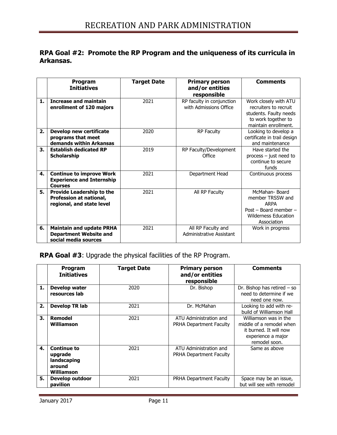### **RPA Goal #2: Promote the RP Program and the uniqueness of its curricula in Arkansas.**

|    | Program<br><b>Initiatives</b>                                                            | <b>Target Date</b> | <b>Primary person</b><br>and/or entities<br>responsible | <b>Comments</b>                                                                                                         |
|----|------------------------------------------------------------------------------------------|--------------------|---------------------------------------------------------|-------------------------------------------------------------------------------------------------------------------------|
| 1. | <b>Increase and maintain</b><br>enrollment of 120 majors                                 | 2021               | RP faculty in conjunction<br>with Admissions Office     | Work closely with ATU<br>recruiters to recruit<br>students. Faulty needs<br>to work together to<br>maintain enrollment. |
| 2. | Develop new certificate<br>programs that meet<br>demands within Arkansas                 | 2020               | <b>RP Faculty</b>                                       | Looking to develop a<br>certificate in trail design<br>and maintenance                                                  |
| 3. | <b>Establish dedicated RP</b><br><b>Scholarship</b>                                      | 2019               | RP Faculty/Development<br>Office                        | Have started the<br>process - just need to<br>continue to secure<br>funds                                               |
| 4. | <b>Continue to improve Work</b><br><b>Experience and Internship</b><br><b>Courses</b>    | 2021               | Department Head                                         | Continuous process                                                                                                      |
| 5. | <b>Provide Leadership to the</b><br>Profession at national,<br>regional, and state level | 2021               | All RP Faculty                                          | McMahan-Board<br>member TRSSW and<br><b>ARPA</b><br>Post – Board member –<br><b>Wilderness Education</b><br>Association |
| 6. | <b>Maintain and update PRHA</b><br><b>Department Website and</b><br>social media sources | 2021               | All RP Faculty and<br>Administrative Assistant          | Work in progress                                                                                                        |

## **RPA Goal #3**: Upgrade the physical facilities of the RP Program.

|    | Program<br><b>Initiatives</b>                                        | <b>Target Date</b> | <b>Primary person</b><br>and/or entities<br>responsible  | <b>Comments</b>                                                                                                    |
|----|----------------------------------------------------------------------|--------------------|----------------------------------------------------------|--------------------------------------------------------------------------------------------------------------------|
| 1. | Develop water<br>resources lab                                       | 2020               | Dr. Bishop                                               | Dr. Bishop has retired $-$ so<br>need to determine if we<br>need one now.                                          |
| 2. | Develop TR lab                                                       | 2021               | Dr. McMahan                                              | Looking to add with re-<br>build of Williamson Hall                                                                |
| 3. | <b>Remodel</b><br><b>Williamson</b>                                  | 2021               | ATU Administration and<br><b>PRHA Department Faculty</b> | Williamson was in the<br>middle of a remodel when<br>it burned. It will now<br>experience a major<br>remodel soon. |
| 4. | <b>Continue to</b><br>upgrade<br>landscaping<br>around<br>Williamson | 2021               | ATU Administration and<br><b>PRHA Department Faculty</b> | Same as above                                                                                                      |
| 5. | Develop outdoor<br>pavilion                                          | 2021               | <b>PRHA Department Faculty</b>                           | Space may be an issue,<br>but will see with remodel                                                                |